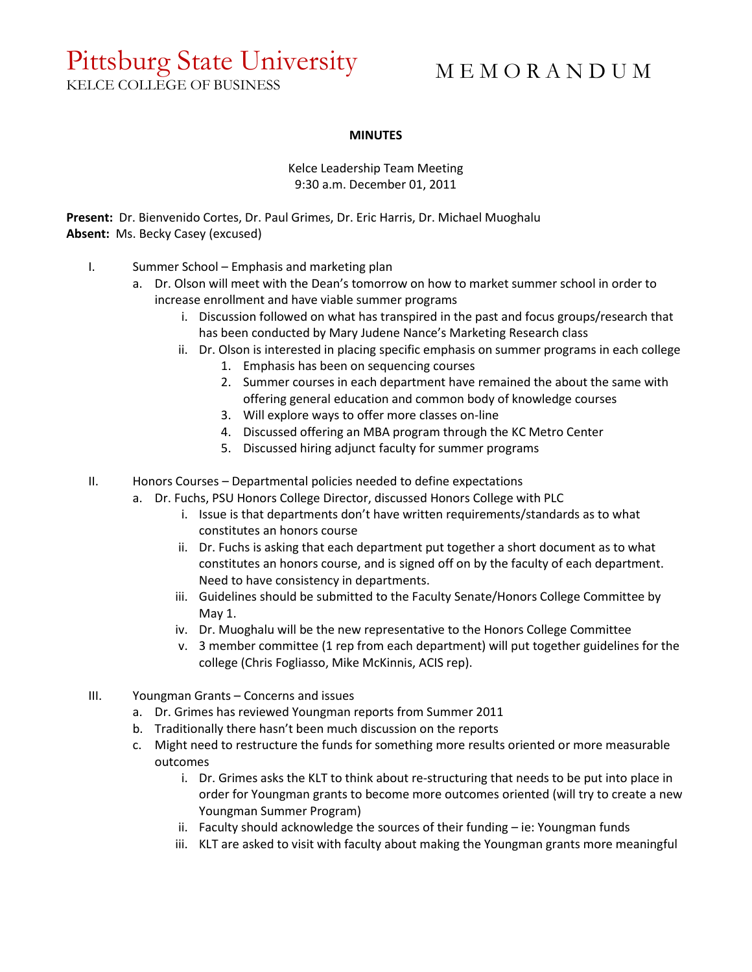## Pittsburg State University

KELCE COLLEGE OF BUSINESS

## M E M O R A N D U M

## **MINUTES**

Kelce Leadership Team Meeting 9:30 a.m. December 01, 2011

**Present:** Dr. Bienvenido Cortes, Dr. Paul Grimes, Dr. Eric Harris, Dr. Michael Muoghalu **Absent:** Ms. Becky Casey (excused)

- I. Summer School Emphasis and marketing plan
	- a. Dr. Olson will meet with the Dean's tomorrow on how to market summer school in order to increase enrollment and have viable summer programs
		- i. Discussion followed on what has transpired in the past and focus groups/research that has been conducted by Mary Judene Nance's Marketing Research class
		- ii. Dr. Olson is interested in placing specific emphasis on summer programs in each college
			- 1. Emphasis has been on sequencing courses
			- 2. Summer courses in each department have remained the about the same with offering general education and common body of knowledge courses
			- 3. Will explore ways to offer more classes on-line
			- 4. Discussed offering an MBA program through the KC Metro Center
			- 5. Discussed hiring adjunct faculty for summer programs
- II. Honors Courses Departmental policies needed to define expectations
	- a. Dr. Fuchs, PSU Honors College Director, discussed Honors College with PLC
		- i. Issue is that departments don't have written requirements/standards as to what constitutes an honors course
		- ii. Dr. Fuchs is asking that each department put together a short document as to what constitutes an honors course, and is signed off on by the faculty of each department. Need to have consistency in departments.
		- iii. Guidelines should be submitted to the Faculty Senate/Honors College Committee by May 1.
		- iv. Dr. Muoghalu will be the new representative to the Honors College Committee
		- v. 3 member committee (1 rep from each department) will put together guidelines for the college (Chris Fogliasso, Mike McKinnis, ACIS rep).
- III. Youngman Grants Concerns and issues
	- a. Dr. Grimes has reviewed Youngman reports from Summer 2011
	- b. Traditionally there hasn't been much discussion on the reports
	- c. Might need to restructure the funds for something more results oriented or more measurable outcomes
		- i. Dr. Grimes asks the KLT to think about re-structuring that needs to be put into place in order for Youngman grants to become more outcomes oriented (will try to create a new Youngman Summer Program)
		- ii. Faculty should acknowledge the sources of their funding ie: Youngman funds
		- iii. KLT are asked to visit with faculty about making the Youngman grants more meaningful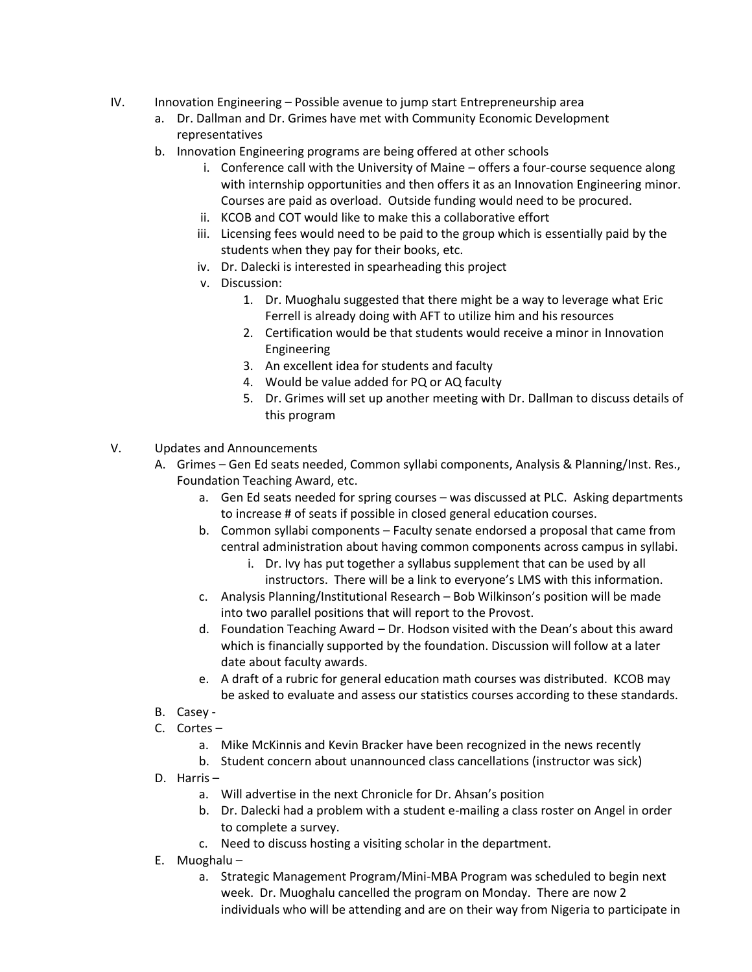- IV. Innovation Engineering Possible avenue to jump start Entrepreneurship area
	- a. Dr. Dallman and Dr. Grimes have met with Community Economic Development representatives
	- b. Innovation Engineering programs are being offered at other schools
		- i. Conference call with the University of Maine offers a four-course sequence along with internship opportunities and then offers it as an Innovation Engineering minor. Courses are paid as overload. Outside funding would need to be procured.
		- ii. KCOB and COT would like to make this a collaborative effort
		- iii. Licensing fees would need to be paid to the group which is essentially paid by the students when they pay for their books, etc.
		- iv. Dr. Dalecki is interested in spearheading this project
		- v. Discussion:
			- 1. Dr. Muoghalu suggested that there might be a way to leverage what Eric Ferrell is already doing with AFT to utilize him and his resources
			- 2. Certification would be that students would receive a minor in Innovation Engineering
			- 3. An excellent idea for students and faculty
			- 4. Would be value added for PQ or AQ faculty
			- 5. Dr. Grimes will set up another meeting with Dr. Dallman to discuss details of this program
- V. Updates and Announcements
	- A. Grimes Gen Ed seats needed, Common syllabi components, Analysis & Planning/Inst. Res., Foundation Teaching Award, etc.
		- a. Gen Ed seats needed for spring courses was discussed at PLC. Asking departments to increase # of seats if possible in closed general education courses.
		- b. Common syllabi components Faculty senate endorsed a proposal that came from central administration about having common components across campus in syllabi.
			- i. Dr. Ivy has put together a syllabus supplement that can be used by all instructors. There will be a link to everyone's LMS with this information.
		- c. Analysis Planning/Institutional Research Bob Wilkinson's position will be made into two parallel positions that will report to the Provost.
		- d. Foundation Teaching Award Dr. Hodson visited with the Dean's about this award which is financially supported by the foundation. Discussion will follow at a later date about faculty awards.
		- e. A draft of a rubric for general education math courses was distributed. KCOB may be asked to evaluate and assess our statistics courses according to these standards.
	- B. Casey -
	- C. Cortes
		- a. Mike McKinnis and Kevin Bracker have been recognized in the news recently
		- b. Student concern about unannounced class cancellations (instructor was sick)
	- D. Harris
		- a. Will advertise in the next Chronicle for Dr. Ahsan's position
		- b. Dr. Dalecki had a problem with a student e-mailing a class roster on Angel in order to complete a survey.
		- c. Need to discuss hosting a visiting scholar in the department.
	- E. Muoghalu
		- a. Strategic Management Program/Mini-MBA Program was scheduled to begin next week. Dr. Muoghalu cancelled the program on Monday. There are now 2 individuals who will be attending and are on their way from Nigeria to participate in